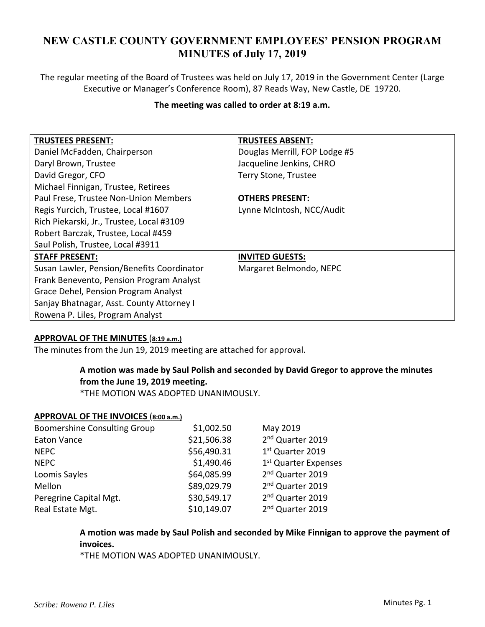# **NEW CASTLE COUNTY GOVERNMENT EMPLOYEES' PENSION PROGRAM MINUTES of July 17, 2019**

The regular meeting of the Board of Trustees was held on July 17, 2019 in the Government Center (Large Executive or Manager's Conference Room), 87 Reads Way, New Castle, DE 19720.

## **The meeting was called to order at 8:19 a.m.**

| <b>TRUSTEES PRESENT:</b>                   | <b>TRUSTEES ABSENT:</b>       |
|--------------------------------------------|-------------------------------|
| Daniel McFadden, Chairperson               | Douglas Merrill, FOP Lodge #5 |
| Daryl Brown, Trustee                       | Jacqueline Jenkins, CHRO      |
| David Gregor, CFO                          | Terry Stone, Trustee          |
| Michael Finnigan, Trustee, Retirees        |                               |
| Paul Frese, Trustee Non-Union Members      | <b>OTHERS PRESENT:</b>        |
| Regis Yurcich, Trustee, Local #1607        | Lynne McIntosh, NCC/Audit     |
| Rich Piekarski, Jr., Trustee, Local #3109  |                               |
| Robert Barczak, Trustee, Local #459        |                               |
| Saul Polish, Trustee, Local #3911          |                               |
| <b>STAFF PRESENT:</b>                      | <b>INVITED GUESTS:</b>        |
| Susan Lawler, Pension/Benefits Coordinator | Margaret Belmondo, NEPC       |
| Frank Benevento, Pension Program Analyst   |                               |
| Grace Dehel, Pension Program Analyst       |                               |
| Sanjay Bhatnagar, Asst. County Attorney I  |                               |
| Rowena P. Liles, Program Analyst           |                               |

## **APPROVAL OF THE MINUTES** (**8:19 a.m.)**

The minutes from the Jun 19, 2019 meeting are attached for approval.

# **A motion was made by Saul Polish and seconded by David Gregor to approve the minutes from the June 19, 2019 meeting.**

\*THE MOTION WAS ADOPTED UNANIMOUSLY.

#### **APPROVAL OF THE INVOICES** (**8:00 a.m.)**

| <b>Boomershine Consulting Group</b> | \$1,002.50  | May 2019                         |
|-------------------------------------|-------------|----------------------------------|
| <b>Eaton Vance</b>                  | \$21,506.38 | 2 <sup>nd</sup> Quarter 2019     |
| <b>NEPC</b>                         | \$56,490.31 | 1st Quarter 2019                 |
| <b>NEPC</b>                         | \$1,490.46  | 1 <sup>st</sup> Quarter Expenses |
| Loomis Sayles                       | \$64,085.99 | 2 <sup>nd</sup> Quarter 2019     |
| Mellon                              | \$89,029.79 | 2 <sup>nd</sup> Quarter 2019     |
| Peregrine Capital Mgt.              | \$30,549.17 | 2 <sup>nd</sup> Quarter 2019     |
| Real Estate Mgt.                    | \$10,149.07 | 2 <sup>nd</sup> Quarter 2019     |

# **A motion was made by Saul Polish and seconded by Mike Finnigan to approve the payment of invoices.**

\*THE MOTION WAS ADOPTED UNANIMOUSLY.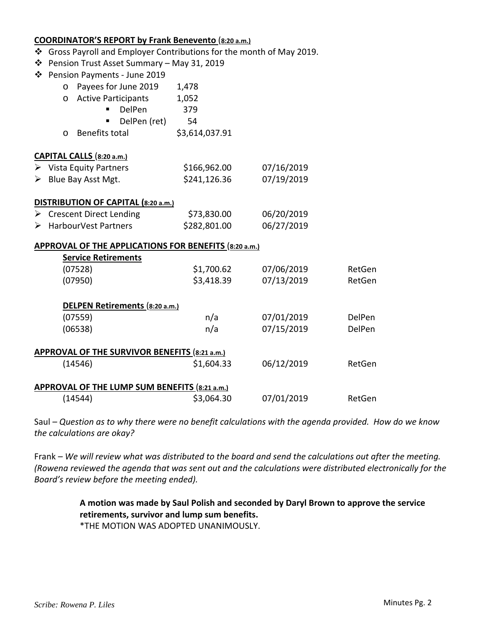|                                                       | <b>COORDINATOR'S REPORT by Frank Benevento (8:20 a.m.)</b>            |                |            |        |  |
|-------------------------------------------------------|-----------------------------------------------------------------------|----------------|------------|--------|--|
|                                                       | ❖ Gross Payroll and Employer Contributions for the month of May 2019. |                |            |        |  |
|                                                       | ❖ Pension Trust Asset Summary - May 31, 2019                          |                |            |        |  |
|                                                       | ❖ Pension Payments - June 2019                                        |                |            |        |  |
|                                                       | Payees for June 2019<br>$\circ$                                       | 1,478          |            |        |  |
|                                                       | <b>Active Participants</b><br>$\circ$                                 | 1,052          |            |        |  |
|                                                       | DelPen                                                                | 379            |            |        |  |
|                                                       | DelPen (ret)                                                          | 54             |            |        |  |
|                                                       | Benefits total<br>O                                                   | \$3,614,037.91 |            |        |  |
|                                                       | CAPITAL CALLS (8:20 a.m.)                                             |                |            |        |  |
|                                                       | $\triangleright$ Vista Equity Partners                                | \$166,962.00   | 07/16/2019 |        |  |
|                                                       | $\triangleright$ Blue Bay Asst Mgt.                                   | \$241,126.36   | 07/19/2019 |        |  |
| DISTRIBUTION OF CAPITAL (8:20 a.m.)                   |                                                                       |                |            |        |  |
|                                                       | $\triangleright$ Crescent Direct Lending                              | \$73,830.00    | 06/20/2019 |        |  |
|                                                       | > HarbourVest Partners                                                | \$282,801.00   | 06/27/2019 |        |  |
| APPROVAL OF THE APPLICATIONS FOR BENEFITS (8:20 a.m.) |                                                                       |                |            |        |  |
|                                                       | <b>Service Retirements</b>                                            |                |            |        |  |
|                                                       | (07528)                                                               | \$1,700.62     | 07/06/2019 | RetGen |  |
|                                                       | (07950)                                                               | \$3,418.39     | 07/13/2019 | RetGen |  |
| DELPEN Retirements (8:20 a.m.)                        |                                                                       |                |            |        |  |
|                                                       | (07559)                                                               | n/a            | 07/01/2019 | DelPen |  |
|                                                       | (06538)                                                               | n/a            | 07/15/2019 | DelPen |  |
| APPROVAL OF THE SURVIVOR BENEFITS (8:21 a.m.)         |                                                                       |                |            |        |  |
|                                                       | (14546)                                                               | \$1,604.33     | 06/12/2019 | RetGen |  |
| APPROVAL OF THE LUMP SUM BENEFITS (8:21 a.m.)         |                                                                       |                |            |        |  |
|                                                       | (14544)                                                               | \$3,064.30     | 07/01/2019 | RetGen |  |

Saul *– Question as to why there were no benefit calculations with the agenda provided. How do we know the calculations are okay?* 

Frank *– We will review what was distributed to the board and send the calculations out after the meeting. (Rowena reviewed the agenda that was sent out and the calculations were distributed electronically for the Board's review before the meeting ended).* 

> **A motion was made by Saul Polish and seconded by Daryl Brown to approve the service retirements, survivor and lump sum benefits.**

\*THE MOTION WAS ADOPTED UNANIMOUSLY.